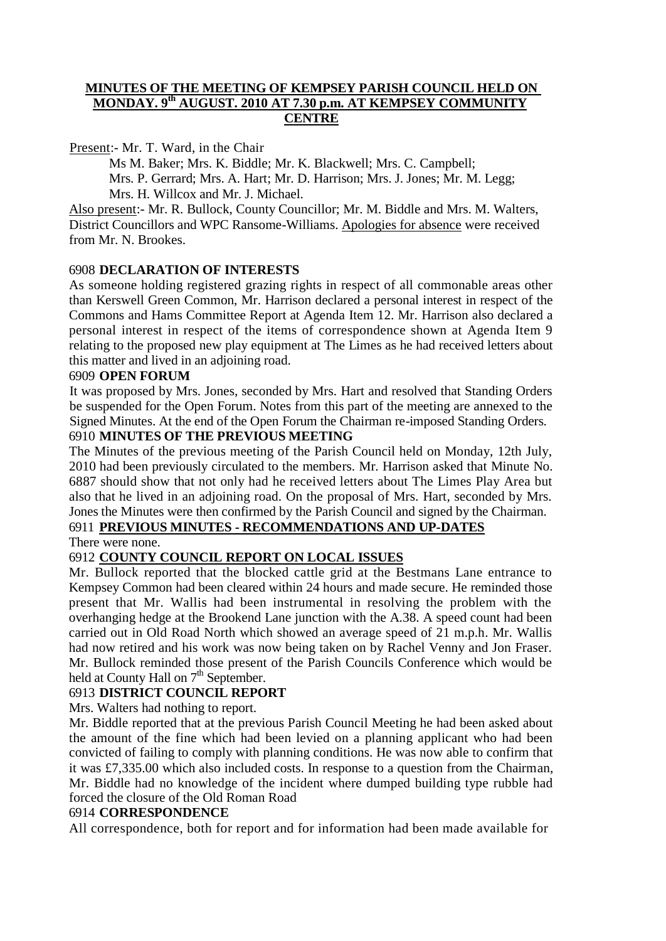### **MINUTES OF THE MEETING OF KEMPSEY PARISH COUNCIL HELD ON MONDAY. 9th AUGUST. 2010 AT 7.30 p.m. AT KEMPSEY COMMUNITY CENTRE**

Present:- Mr. T. Ward, in the Chair

Ms M. Baker; Mrs. K. Biddle; Mr. K. Blackwell; Mrs. C. Campbell; Mrs. P. Gerrard; Mrs. A. Hart; Mr. D. Harrison; Mrs. J. Jones; Mr. M. Legg; Mrs. H. Willcox and Mr. J. Michael.

Also present:- Mr. R. Bullock, County Councillor; Mr. M. Biddle and Mrs. M. Walters, District Councillors and WPC Ransome-Williams. Apologies for absence were received from Mr. N. Brookes.

## 6908 **DECLARATION OF INTERESTS**

As someone holding registered grazing rights in respect of all commonable areas other than Kerswell Green Common, Mr. Harrison declared a personal interest in respect of the Commons and Hams Committee Report at Agenda Item 12. Mr. Harrison also declared a personal interest in respect of the items of correspondence shown at Agenda Item 9 relating to the proposed new play equipment at The Limes as he had received letters about this matter and lived in an adjoining road.

### 6909 **OPEN FORUM**

It was proposed by Mrs. Jones, seconded by Mrs. Hart and resolved that Standing Orders be suspended for the Open Forum. Notes from this part of the meeting are annexed to the Signed Minutes. At the end of the Open Forum the Chairman re-imposed Standing Orders.

### 6910 **MINUTES OF THE PREVIOUS MEETING**

The Minutes of the previous meeting of the Parish Council held on Monday, 12th July, 2010 had been previously circulated to the members. Mr. Harrison asked that Minute No. 6887 should show that not only had he received letters about The Limes Play Area but also that he lived in an adjoining road. On the proposal of Mrs. Hart, seconded by Mrs. Jones the Minutes were then confirmed by the Parish Council and signed by the Chairman.

# 6911 **PREVIOUS MINUTES - RECOMMENDATIONS AND UP-DATES**

There were none.

## 6912 **COUNTY COUNCIL REPORT ON LOCAL ISSUES**

Mr. Bullock reported that the blocked cattle grid at the Bestmans Lane entrance to Kempsey Common had been cleared within 24 hours and made secure. He reminded those present that Mr. Wallis had been instrumental in resolving the problem with the overhanging hedge at the Brookend Lane junction with the A.38. A speed count had been carried out in Old Road North which showed an average speed of 21 m.p.h. Mr. Wallis had now retired and his work was now being taken on by Rachel Venny and Jon Fraser. Mr. Bullock reminded those present of the Parish Councils Conference which would be held at County Hall on 7<sup>th</sup> September.

## 6913 **DISTRICT COUNCIL REPORT**

Mrs. Walters had nothing to report.

Mr. Biddle reported that at the previous Parish Council Meeting he had been asked about the amount of the fine which had been levied on a planning applicant who had been convicted of failing to comply with planning conditions. He was now able to confirm that it was £7,335.00 which also included costs. In response to a question from the Chairman, Mr. Biddle had no knowledge of the incident where dumped building type rubble had forced the closure of the Old Roman Road

### 6914 **CORRESPONDENCE**

All correspondence, both for report and for information had been made available for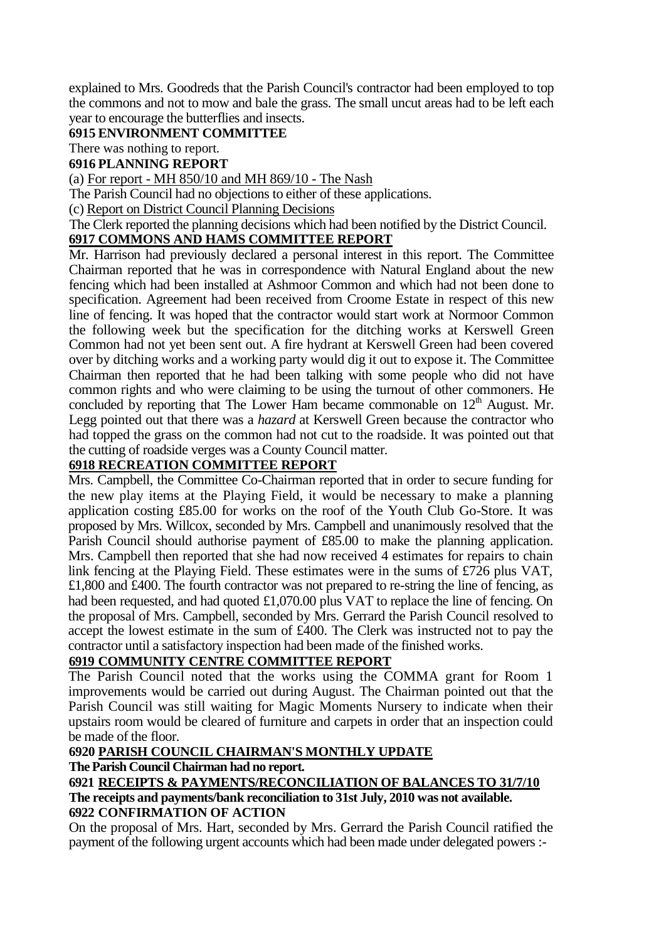explained to Mrs. Goodreds that the Parish Council's contractor had been employed to top the commons and not to mow and bale the grass. The small uncut areas had to be left each year to encourage the butterflies and insects.

### **6915 ENVIRONMENT COMMITTEE**

There was nothing to report.

### **6916 PLANNING REPORT**

(a) For report - MH 850/10 and MH 869/10 - The Nash

The Parish Council had no objections to either of these applications.

(c) Report on District Council Planning Decisions

The Clerk reported the planning decisions which had been notified by the District Council.

# **6917 COMMONS AND HAMS COMMITTEE REPORT**

Mr. Harrison had previously declared a personal interest in this report. The Committee Chairman reported that he was in correspondence with Natural England about the new fencing which had been installed at Ashmoor Common and which had not been done to specification. Agreement had been received from Croome Estate in respect of this new line of fencing. It was hoped that the contractor would start work at Normoor Common the following week but the specification for the ditching works at Kerswell Green Common had not yet been sent out. A fire hydrant at Kerswell Green had been covered over by ditching works and a working party would dig it out to expose it. The Committee Chairman then reported that he had been talking with some people who did not have common rights and who were claiming to be using the turnout of other commoners. He concluded by reporting that The Lower Ham became commonable on  $12<sup>th</sup>$  August. Mr. Legg pointed out that there was a *hazard* at Kerswell Green because the contractor who had topped the grass on the common had not cut to the roadside. It was pointed out that the cutting of roadside verges was a County Council matter.

## **6918 RECREATION COMMITTEE REPORT**

Mrs. Campbell, the Committee Co-Chairman reported that in order to secure funding for the new play items at the Playing Field, it would be necessary to make a planning application costing £85.00 for works on the roof of the Youth Club Go-Store. It was proposed by Mrs. Willcox, seconded by Mrs. Campbell and unanimously resolved that the Parish Council should authorise payment of £85.00 to make the planning application. Mrs. Campbell then reported that she had now received 4 estimates for repairs to chain link fencing at the Playing Field. These estimates were in the sums of £726 plus VAT, £1,800 and £400. The fourth contractor was not prepared to re-string the line of fencing, as had been requested, and had quoted £1,070.00 plus VAT to replace the line of fencing. On the proposal of Mrs. Campbell, seconded by Mrs. Gerrard the Parish Council resolved to accept the lowest estimate in the sum of £400. The Clerk was instructed not to pay the contractor until a satisfactory inspection had been made of the finished works.

## **6919 COMMUNITY CENTRE COMMITTEE REPORT**

The Parish Council noted that the works using the COMMA grant for Room 1 improvements would be carried out during August. The Chairman pointed out that the Parish Council was still waiting for Magic Moments Nursery to indicate when their upstairs room would be cleared of furniture and carpets in order that an inspection could be made of the floor.

### **6920 PARISH COUNCIL CHAIRMAN'S MONTHLY UPDATE**

## **The Parish Council Chairman had no report.**

#### **6921 RECEIPTS & PAYMENTS/RECONCILIATION OF BALANCES TO 31/7/10 The receipts and payments/bank reconciliation to 31st July, 2010 was not available. 6922 CONFIRMATION OF ACTION**

On the proposal of Mrs. Hart, seconded by Mrs. Gerrard the Parish Council ratified the payment of the following urgent accounts which had been made under delegated powers :-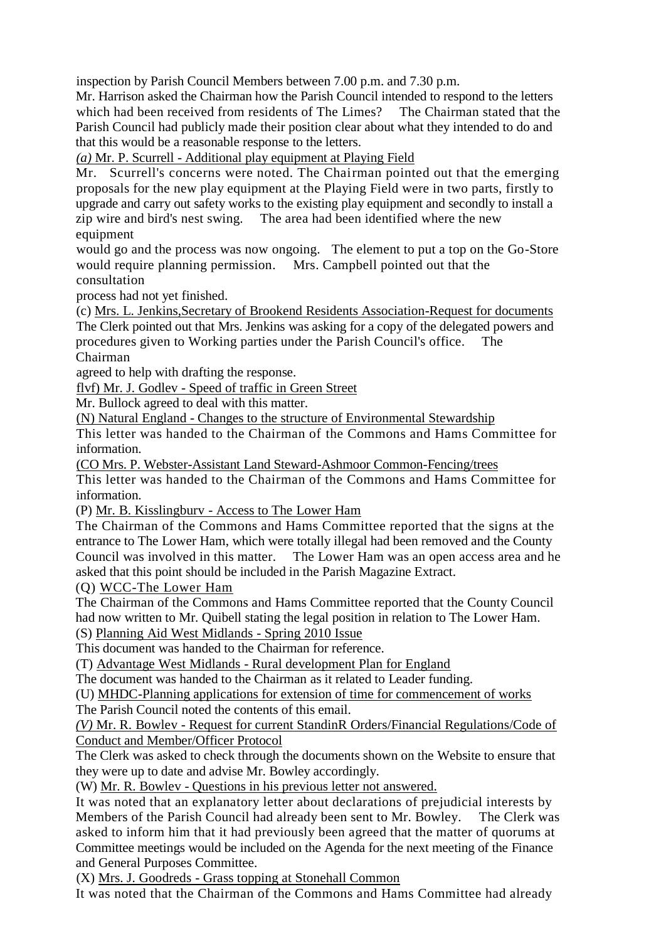inspection by Parish Council Members between 7.00 p.m. and 7.30 p.m.

Mr. Harrison asked the Chairman how the Parish Council intended to respond to the letters which had been received from residents of The Limes? The Chairman stated that the Parish Council had publicly made their position clear about what they intended to do and that this would be a reasonable response to the letters.

*(a)* Mr. P. Scurrell - Additional play equipment at Playing Field

Mr. Scurrell's concerns were noted. The Chairman pointed out that the emerging proposals for the new play equipment at the Playing Field were in two parts, firstly to upgrade and carry out safety works to the existing play equipment and secondly to install a zip wire and bird's nest swing. The area had been identified where the new equipment

would go and the process was now ongoing. The element to put a top on the Go-Store would require planning permission. Mrs. Campbell pointed out that the consultation

process had not yet finished.

(c) Mrs. L. Jenkins,Secretary of Brookend Residents Association-Request for documents The Clerk pointed out that Mrs. Jenkins was asking for a copy of the delegated powers and procedures given to Working parties under the Parish Council's office. The Chairman

agreed to help with drafting the response.

flvf) Mr. J. Godlev - Speed of traffic in Green Street

Mr. Bullock agreed to deal with this matter.

(N) Natural England - Changes to the structure of Environmental Stewardship

This letter was handed to the Chairman of the Commons and Hams Committee for information.

(CO Mrs. P. Webster-Assistant Land Steward-Ashmoor Common-Fencing/trees

This letter was handed to the Chairman of the Commons and Hams Committee for information.

(P) Mr. B. Kisslingburv - Access to The Lower Ham

The Chairman of the Commons and Hams Committee reported that the signs at the entrance to The Lower Ham, which were totally illegal had been removed and the County Council was involved in this matter. The Lower Ham was an open access area and he asked that this point should be included in the Parish Magazine Extract.

(Q) WCC-The Lower Ham

The Chairman of the Commons and Hams Committee reported that the County Council had now written to Mr. Quibell stating the legal position in relation to The Lower Ham. (S) Planning Aid West Midlands - Spring 2010 Issue

This document was handed to the Chairman for reference.

(T) Advantage West Midlands - Rural development Plan for England

The document was handed to the Chairman as it related to Leader funding.

(U) MHDC-Planning applications for extension of time for commencement of works

The Parish Council noted the contents of this email.

*(V)* Mr. R. Bowlev - Request for current StandinR Orders/Financial Regulations/Code of Conduct and Member/Officer Protocol

The Clerk was asked to check through the documents shown on the Website to ensure that they were up to date and advise Mr. Bowley accordingly.

(W) Mr. R. Bowlev - Questions in his previous letter not answered.

It was noted that an explanatory letter about declarations of prejudicial interests by Members of the Parish Council had already been sent to Mr. Bowley. The Clerk was asked to inform him that it had previously been agreed that the matter of quorums at Committee meetings would be included on the Agenda for the next meeting of the Finance and General Purposes Committee.

(X) Mrs. J. Goodreds - Grass topping at Stonehall Common

It was noted that the Chairman of the Commons and Hams Committee had already